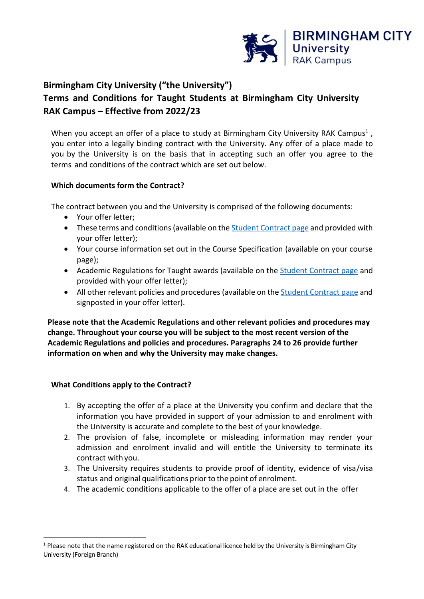

# **Birmingham City University ("the University") Terms and Conditions for Taught Students at Birmingham City University RAK Campus – Effective from 2022/23**

When you accept an offer of a place to study at Birmingham City University RAK Campus<sup>1</sup>, you enter into a legally binding contract with the University. Any offer of a place made to you by the University is on the basis that in accepting such an offer you agree to the terms and conditions of the contract which are set out below.

# **Which documents form the Contract?**

The contract between you and the University is comprised of the following documents:

- Your offer letter;
- These terms and conditions (available on the **Student [Contract](https://bcu.ac.ae/the-student-contract/) page and provided with** your offer letter);
- Your course information set out in the Course Specification (available on your course page);
- Academic Regulations for Taught awards (available on the [Student Contract page](https://bcu.ac.ae/the-student-contract/) and provided with your offer letter);
- All other relevant policies and procedures (available on the Student [Contract](https://bcu.ac.ae/the-student-contract/) page and signposted in your offer letter).

**Please note that the Academic Regulations and other relevant policies and procedures may change. Throughout your course you will be subject to the most recent version of the Academic Regulations and policies and procedures. Paragraphs 24 to 26 provide further information on when and why the University may make changes.**

# **What Conditions apply to the Contract?**

- 1. By accepting the offer of a place at the University you confirm and declare that the information you have provided in support of your admission to and enrolment with the University is accurate and complete to the best of your knowledge.
- 2. The provision of false, incomplete or misleading information may render your admission and enrolment invalid and will entitle the University to terminate its contract with you.
- 3. The University requires students to provide proof of identity, evidence of visa/visa status and original qualifications prior to the point of enrolment.
- 4. The academic conditions applicable to the offer of a place are set out in the offer

 $1$  Please note that the name registered on the RAK educational licence held by the University is Birmingham City University (Foreign Branch)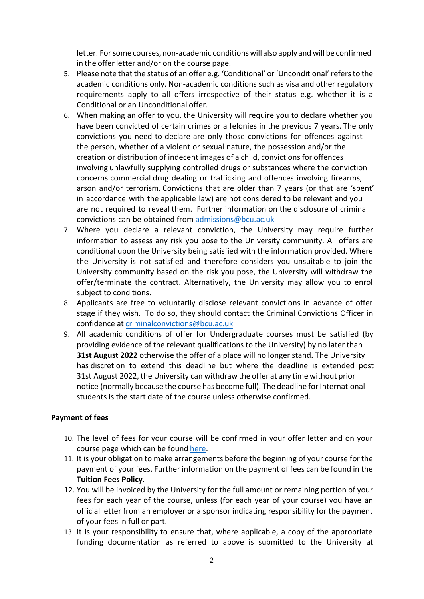letter. For some courses, non-academic conditions will also apply and will be confirmed in the offer letter and/or on the course page.

- 5. Please note that the status of an offer e.g. 'Conditional' or 'Unconditional' refers to the academic conditions only. Non-academic conditions such as visa and other regulatory requirements apply to all offers irrespective of their status e.g. whether it is a Conditional or an Unconditional offer.
- 6. When making an offer to you, the University will require you to declare whether you have been convicted of certain crimes or a felonies in the previous 7 years. The only convictions you need to declare are only those convictions for offences against the person, whether of a violent or sexual nature, the possession and/or the creation or distribution of indecent images of a child, convictions for offences involving unlawfully supplying controlled drugs or substances where the conviction concerns commercial drug dealing or trafficking and offences involving firearms, arson and/or terrorism. Convictions that are older than 7 years (or that are 'spent' in accordance with the applicable law) are not considered to be relevant and you are not required to reveal them. Further information on the disclosure of criminal convictions can be obtained fro[m admissions@bcu.ac.uk](mailto:admissions@bcu.ac.uk)
- 7. Where you declare a relevant conviction, the University may require further information to assess any risk you pose to the University community. All offers are conditional upon the University being satisfied with the information provided. Where the University is not satisfied and therefore considers you unsuitable to join the University community based on the risk you pose, the University will withdraw the offer/terminate the contract. Alternatively, the University may allow you to enrol subject to conditions.
- 8. Applicants are free to voluntarily disclose relevant convictions in advance of offer stage if they wish. To do so, they should contact the Criminal Convictions Officer in confidence at [criminalconvictions@bcu.ac.uk](mailto:criminalconvictions@bcu.ac.uk)
- 9. All academic conditions of offer for Undergraduate courses must be satisfied (by providing evidence of the relevant qualifications to the University) by no later than **31st August 2022** otherwise the offer of a place will no longer stand**.** The University has discretion to extend this deadline but where the deadline is extended post 31st August 2022, the University can withdraw the offer at any time without prior notice (normally because the course has become full). The deadline for International students is the start date of the course unless otherwise confirmed.

## **Payment of fees**

- 10. The level of fees for your course will be confirmed in your offer letter and on your course page which can be found [here.](https://bcu.ac.ae/courses/)
- 11. It is your obligation to make arrangements before the beginning of your course for the payment of your fees. Further information on the payment of fees can be found in the **Tuition Fees Policy**.
- 12. You will be invoiced by the University for the full amount or remaining portion of your fees for each year of the course, unless (for each year of your course) you have an official letter from an employer or a sponsor indicating responsibility for the payment of your fees in full or part.
- 13. It is your responsibility to ensure that, where applicable, a copy of the appropriate funding documentation as referred to above is submitted to the University at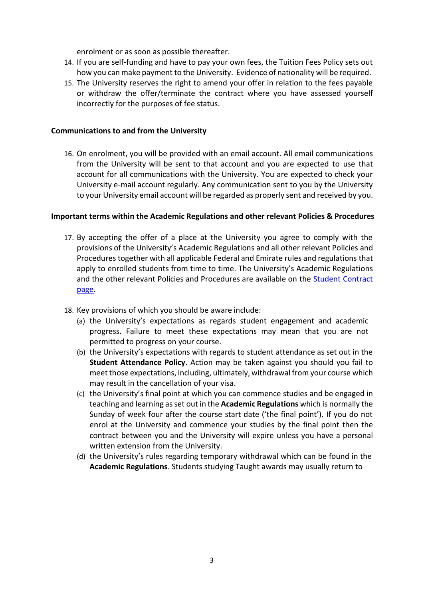enrolment or as soon as possible thereafter.

- 14. If you are self-funding and have to pay your own fees, the Tuition Fees Policy sets out how you can make payment to the University. Evidence of nationality will be required.
- 15. The University reserves the right to amend your offer in relation to the fees payable or withdraw the offer/terminate the contract where you have assessed yourself incorrectly for the purposes of fee status.

## **Communications to and from the University**

16. On enrolment, you will be provided with an email account. All email communications from the University will be sent to that account and you are expected to use that account for all communications with the University. You are expected to check your University e-mail account regularly. Any communication sent to you by the University to your University email account will be regarded as properly sent and received by you.

#### **Important terms within the Academic Regulations and other relevant Policies & Procedures**

- 17. By accepting the offer of a place at the University you agree to comply with the provisions of the University's Academic Regulations and all other relevant Policies and Procedures together with all applicable Federal and Emirate rules and regulations that apply to enrolled students from time to time. The University's Academic Regulations and the other relevant Policies and Procedures are available on the [Student Contract](https://bcu.ac.ae/the-student-contract/) [page.](https://bcu.ac.ae/the-student-contract/)
- 18. Key provisions of which you should be aware include:
	- (a) the University's expectations as regards student engagement and academic progress. Failure to meet these expectations may mean that you are not permitted to progress on your course.
	- (b) the University's expectations with regards to student attendance as set out in the **Student Attendance Policy**. Action may be taken against you should you fail to meet those expectations, including, ultimately, withdrawal from your course which may result in the cancellation of your visa.
	- (c) the University's final point at which you can commence studies and be engaged in teaching and learning as set out in the **Academic Regulations** which is normally the Sunday of week four after the course start date ('the final point'). If you do not enrol at the University and commence your studies by the final point then the contract between you and the University will expire unless you have a personal written extension from the University.
	- (d) the University's rules regarding temporary withdrawal which can be found in the **Academic Regulations**. Students studying Taught awards may usually return to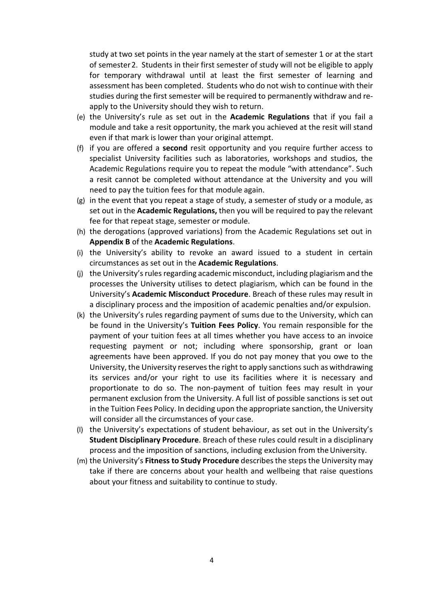study at two set points in the year namely at the start of semester 1 or at the start of semester2. Students in their first semester of study will not be eligible to apply for temporary withdrawal until at least the first semester of learning and assessment has been completed. Students who do not wish to continue with their studies during the first semester will be required to permanently withdraw and reapply to the University should they wish to return.

- (e) the University's rule as set out in the **Academic Regulations** that if you fail a module and take a resit opportunity, the mark you achieved at the resit will stand even if that mark is lower than your original attempt.
- (f) if you are offered a **second** resit opportunity and you require further access to specialist University facilities such as laboratories, workshops and studios, the Academic Regulations require you to repeat the module "with attendance". Such a resit cannot be completed without attendance at the University and you will need to pay the tuition fees for that module again.
- (g) in the event that you repeat a stage of study, a semester of study or a module, as set out in the **Academic Regulations,** then you will be required to pay the relevant fee for that repeat stage, semester or module.
- (h) the derogations (approved variations) from the Academic Regulations set out in **Appendix B** of the **Academic Regulations**.
- (i) the University's ability to revoke an award issued to a student in certain circumstances as set out in the **Academic Regulations**.
- (j) the University's rules regarding academic misconduct, including plagiarism and the processes the University utilises to detect plagiarism, which can be found in the University's **Academic Misconduct Procedure**. Breach of these rules may result in a disciplinary process and the imposition of academic penalties and/or expulsion.
- (k) the University's rules regarding payment of sums due to the University, which can be found in the University's **Tuition Fees Policy**. You remain responsible for the payment of your tuition fees at all times whether you have access to an invoice requesting payment or not; including where sponsorship, grant or loan agreements have been approved. If you do not pay money that you owe to the University, the University reservesthe right to apply sanctionssuch as withdrawing its services and/or your right to use its facilities where it is necessary and proportionate to do so. The non-payment of tuition fees may result in your permanent exclusion from the University. A full list of possible sanctions is set out in the Tuition Fees Policy. In deciding upon the appropriate sanction, the University will consider all the circumstances of your case.
- (l) the University's expectations of student behaviour, as set out in the University's **Student Disciplinary Procedure**. Breach of these rules could result in a disciplinary process and the imposition of sanctions, including exclusion from theUniversity.
- (m) the University's **Fitness to Study Procedure** describesthe stepsthe University may take if there are concerns about your health and wellbeing that raise questions about your fitness and suitability to continue to study.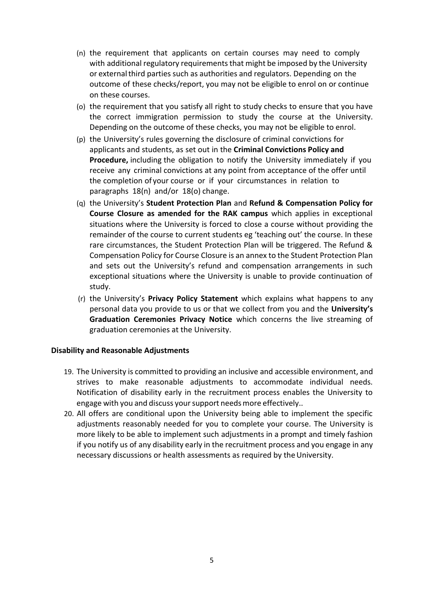- (n) the requirement that applicants on certain courses may need to comply with additional regulatory requirements that might be imposed by the University or externalthird parties such as authorities and regulators. Depending on the outcome of these checks/report, you may not be eligible to enrol on or continue on these courses.
- (o) the requirement that you satisfy all right to study checks to ensure that you have the correct immigration permission to study the course at the University. Depending on the outcome of these checks, you may not be eligible to enrol.
- (p) the University's rules governing the disclosure of criminal convictions for applicants and students, as set out in the **Criminal Convictions Policy and Procedure,** including the obligation to notify the University immediately if you receive any criminal convictions at any point from acceptance of the offer until the completion of your course or if your circumstances in relation to paragraphs 18(n) and/or 18(o) change.
- (q) the University's **Student Protection Plan** and **Refund & Compensation Policy for Course Closure as amended for the RAK campus** which applies in exceptional situations where the University is forced to close a course without providing the remainder of the course to current students eg 'teaching out' the course. In these rare circumstances, the Student Protection Plan will be triggered. The Refund & Compensation Policy for Course Closure is an annex to the Student Protection Plan and sets out the University's refund and compensation arrangements in such exceptional situations where the University is unable to provide continuation of study.
- (r) the University's **Privacy Policy Statement** which explains what happens to any personal data you provide to us or that we collect from you and the **University's Graduation Ceremonies Privacy Notice** which concerns the live streaming of graduation ceremonies at the University.

## **Disability and Reasonable Adjustments**

- 19. The University is committed to providing an inclusive and accessible environment, and strives to make reasonable adjustments to accommodate individual needs. Notification of disability early in the recruitment process enables the University to engage with you and discuss your support needs more effectively..
- 20. All offers are conditional upon the University being able to implement the specific adjustments reasonably needed for you to complete your course. The University is more likely to be able to implement such adjustments in a prompt and timely fashion if you notify us of any disability early in the recruitment process and you engage in any necessary discussions or health assessments as required by the University.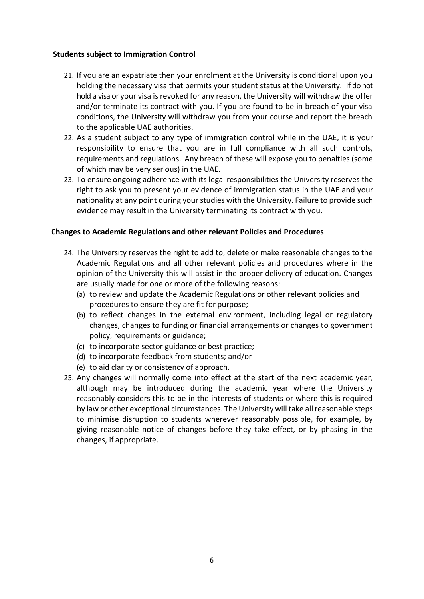## **Students subject to Immigration Control**

- 21. If you are an expatriate then your enrolment at the University is conditional upon you holding the necessary visa that permits your student status at the University. If do not hold a visa or your visa is revoked for any reason, the University will withdraw the offer and/or terminate its contract with you. If you are found to be in breach of your visa conditions, the University will withdraw you from your course and report the breach to the applicable UAE authorities.
- 22. As a student subject to any type of immigration control while in the UAE, it is your responsibility to ensure that you are in full compliance with all such controls, requirements and regulations. Any breach of these will expose you to penalties (some of which may be very serious) in the UAE.
- 23. To ensure ongoing adherence with its legal responsibilities the University reserves the right to ask you to present your evidence of immigration status in the UAE and your nationality at any point during your studies with the University. Failure to provide such evidence may result in the University terminating its contract with you.

## **Changes to Academic Regulations and other relevant Policies and Procedures**

- 24. The University reserves the right to add to, delete or make reasonable changes to the Academic Regulations and all other relevant policies and procedures where in the opinion of the University this will assist in the proper delivery of education. Changes are usually made for one or more of the following reasons:
	- (a) to review and update the Academic Regulations or other relevant policies and procedures to ensure they are fit for purpose;
	- (b) to reflect changes in the external environment, including legal or regulatory changes, changes to funding or financial arrangements or changes to government policy, requirements or guidance;
	- (c) to incorporate sector guidance or best practice;
	- (d) to incorporate feedback from students; and/or
	- (e) to aid clarity or consistency of approach.
- 25. Any changes will normally come into effect at the start of the next academic year, although may be introduced during the academic year where the University reasonably considers this to be in the interests of students or where this is required by law or other exceptional circumstances. The University will take all reasonable steps to minimise disruption to students wherever reasonably possible, for example, by giving reasonable notice of changes before they take effect, or by phasing in the changes, if appropriate.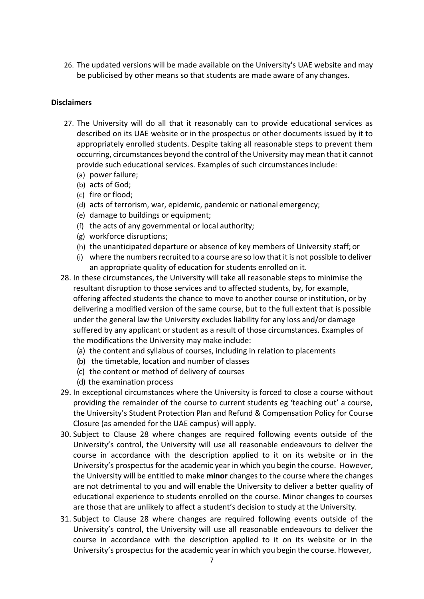26. The updated versions will be made available on the University's UAE website and may be publicised by other means so that students are made aware of any changes.

# **Disclaimers**

- 27. The University will do all that it reasonably can to provide educational services as described on its UAE website or in the prospectus or other documents issued by it to appropriately enrolled students. Despite taking all reasonable steps to prevent them occurring, circumstances beyond the control of the University may mean that it cannot provide such educational services. Examples of such circumstancesinclude:
	- (a) power failure;
	- (b) acts of God;
	- (c) fire or flood;
	- (d) acts of terrorism, war, epidemic, pandemic or national emergency;
	- (e) damage to buildings or equipment;
	- (f) the acts of any governmental or local authority;
	- (g) workforce disruptions;
	- (h) the unanticipated departure or absence of key members of University staff; or
	- (i) where the numbers recruited to a course are so low that it is not possible to deliver an appropriate quality of education for students enrolled on it.
- 28. In these circumstances, the University will take all reasonable steps to minimise the resultant disruption to those services and to affected students, by, for example, offering affected students the chance to move to another course or institution, or by delivering a modified version of the same course, but to the full extent that is possible under the general law the University excludes liability for any loss and/or damage suffered by any applicant or student as a result of those circumstances. Examples of the modifications the University may make include:
	- (a) the content and syllabus of courses, including in relation to placements
	- (b) the timetable, location and number of classes
	- (c) the content or method of delivery of courses
	- (d) the examination process
- 29. In exceptional circumstances where the University is forced to close a course without providing the remainder of the course to current students eg 'teaching out' a course, the University's Student Protection Plan and Refund & Compensation Policy for Course Closure (as amended for the UAE campus) will apply.
- 30. Subject to Clause 28 where changes are required following events outside of the University's control, the University will use all reasonable endeavours to deliver the course in accordance with the description applied to it on its website or in the University's prospectus for the academic year in which you begin the course. However, the University will be entitled to make **minor** changes to the course where the changes are not detrimental to you and will enable the University to deliver a better quality of educational experience to students enrolled on the course. Minor changes to courses are those that are unlikely to affect a student's decision to study at the University.
- 31. Subject to Clause 28 where changes are required following events outside of the University's control, the University will use all reasonable endeavours to deliver the course in accordance with the description applied to it on its website or in the University's prospectus for the academic year in which you begin the course. However,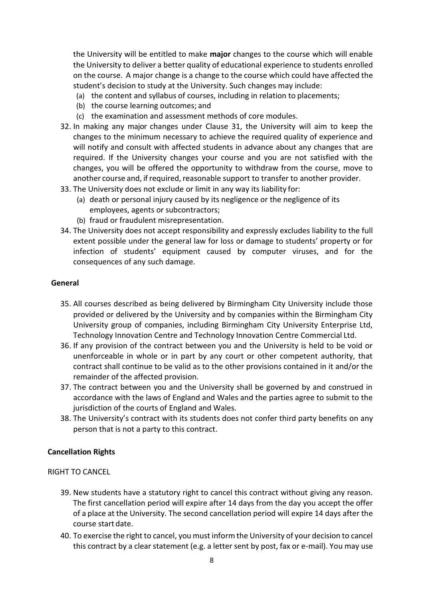the University will be entitled to make **major** changes to the course which will enable the University to deliver a better quality of educational experience to students enrolled on the course. A major change is a change to the course which could have affected the student's decision to study at the University. Such changes may include:

- (a) the content and syllabus of courses, including in relation to placements;
- (b) the course learning outcomes; and
- (c) the examination and assessment methods of core modules.
- 32. In making any major changes under Clause 31, the University will aim to keep the changes to the minimum necessary to achieve the required quality of experience and will notify and consult with affected students in advance about any changes that are required. If the University changes your course and you are not satisfied with the changes, you will be offered the opportunity to withdraw from the course, move to another course and, if required, reasonable support to transfer to another provider.
- 33. The University does not exclude or limit in any way its liability for:
	- (a) death or personal injury caused by its negligence or the negligence of its employees, agents or subcontractors;
	- (b) fraud or fraudulent misrepresentation.
- 34. The University does not accept responsibility and expressly excludes liability to the full extent possible under the general law for loss or damage to students' property or for infection of students' equipment caused by computer viruses, and for the consequences of any such damage.

#### **General**

- 35. All courses described as being delivered by Birmingham City University include those provided or delivered by the University and by companies within the Birmingham City University group of companies, including Birmingham City University Enterprise Ltd, Technology Innovation Centre and Technology Innovation Centre Commercial Ltd.
- 36. If any provision of the contract between you and the University is held to be void or unenforceable in whole or in part by any court or other competent authority, that contract shall continue to be valid as to the other provisions contained in it and/or the remainder of the affected provision.
- 37. The contract between you and the University shall be governed by and construed in accordance with the laws of England and Wales and the parties agree to submit to the jurisdiction of the courts of England and Wales.
- 38. The University's contract with its students does not confer third party benefits on any person that is not a party to this contract.

## **Cancellation Rights**

## RIGHT TO CANCEL

- 39. New students have a statutory right to cancel this contract without giving any reason. The first cancellation period will expire after 14 days from the day you accept the offer of a place at the University. The second cancellation period will expire 14 days after the course start date.
- 40. To exercise the right to cancel, you must inform the University of your decision to cancel this contract by a clear statement (e.g. a letter sent by post, fax or e-mail). You may use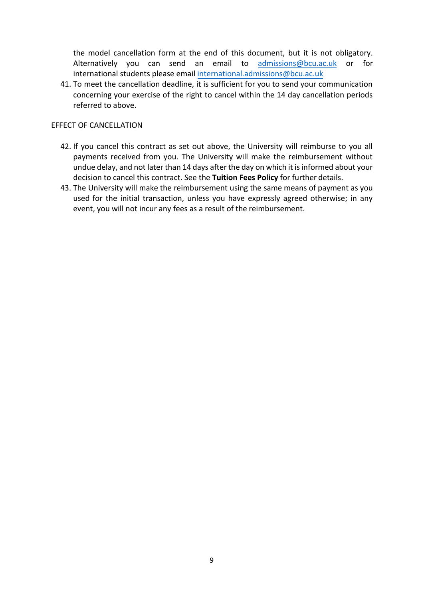the model cancellation form at the end of this document, but it is not obligatory. Alternatively you can send an email to [admissions@bcu.ac.uk](mailto:admissions@bcu.ac.uk) or for international student[s please email international.admissions](mailto:international.admissions@bcu.ac.uk)@bcu.ac.uk

41. To meet the cancellation deadline, it is sufficient for you to send your communication concerning your exercise of the right to cancel within the 14 day cancellation periods referred to above.

#### EFFECT OF CANCELLATION

- 42. If you cancel this contract as set out above, the University will reimburse to you all payments received from you. The University will make the reimbursement without undue delay, and not later than 14 days after the day on which it is informed about your decision to cancel this contract. See the **Tuition Fees Policy** for further details.
- 43. The University will make the reimbursement using the same means of payment as you used for the initial transaction, unless you have expressly agreed otherwise; in any event, you will not incur any fees as a result of the reimbursement.